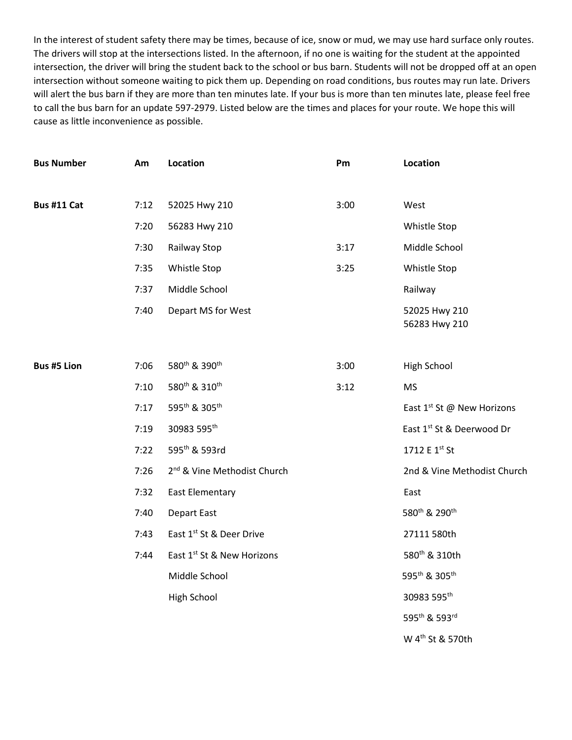In the interest of student safety there may be times, because of ice, snow or mud, we may use hard surface only routes. The drivers will stop at the intersections listed. In the afternoon, if no one is waiting for the student at the appointed intersection, the driver will bring the student back to the school or bus barn. Students will not be dropped off at an open intersection without someone waiting to pick them up. Depending on road conditions, bus routes may run late. Drivers will alert the bus barn if they are more than ten minutes late. If your bus is more than ten minutes late, please feel free to call the bus barn for an update 597-2979. Listed below are the times and places for your route. We hope this will cause as little inconvenience as possible.

| <b>Bus Number</b>  | Am   | Location                                | Pm   | Location                               |
|--------------------|------|-----------------------------------------|------|----------------------------------------|
| Bus #11 Cat        | 7:12 | 52025 Hwy 210                           | 3:00 | West                                   |
|                    | 7:20 |                                         |      |                                        |
|                    |      | 56283 Hwy 210                           |      | Whistle Stop                           |
|                    | 7:30 | Railway Stop                            | 3:17 | Middle School                          |
|                    | 7:35 | Whistle Stop                            | 3:25 | Whistle Stop                           |
|                    | 7:37 | Middle School                           |      | Railway                                |
|                    | 7:40 | Depart MS for West                      |      | 52025 Hwy 210<br>56283 Hwy 210         |
|                    |      |                                         |      |                                        |
| <b>Bus #5 Lion</b> | 7:06 | 580th & 390th                           | 3:00 | High School                            |
|                    | 7:10 | 580 <sup>th</sup> & 310 <sup>th</sup>   | 3:12 | <b>MS</b>                              |
|                    | 7:17 | 595th & 305th                           |      | East 1 <sup>st</sup> St @ New Horizons |
|                    | 7:19 | 30983 595th                             |      | East 1st St & Deerwood Dr              |
|                    | 7:22 | 595th & 593rd                           |      | 1712 E 1st St                          |
|                    | 7:26 | 2 <sup>nd</sup> & Vine Methodist Church |      | 2nd & Vine Methodist Church            |
|                    | 7:32 | East Elementary                         |      | East                                   |
|                    | 7:40 | <b>Depart East</b>                      |      | 580 <sup>th</sup> & 290 <sup>th</sup>  |
|                    | 7:43 | East 1st St & Deer Drive                |      | 27111 580th                            |
|                    | 7:44 | East 1st St & New Horizons              |      | 580 <sup>th</sup> & 310th              |
|                    |      | Middle School                           |      | 595 <sup>th</sup> & 305 <sup>th</sup>  |
|                    |      | <b>High School</b>                      |      | 30983 595th                            |
|                    |      |                                         |      | 595th & 593rd                          |
|                    |      |                                         |      | W 4 <sup>th</sup> St & 570th           |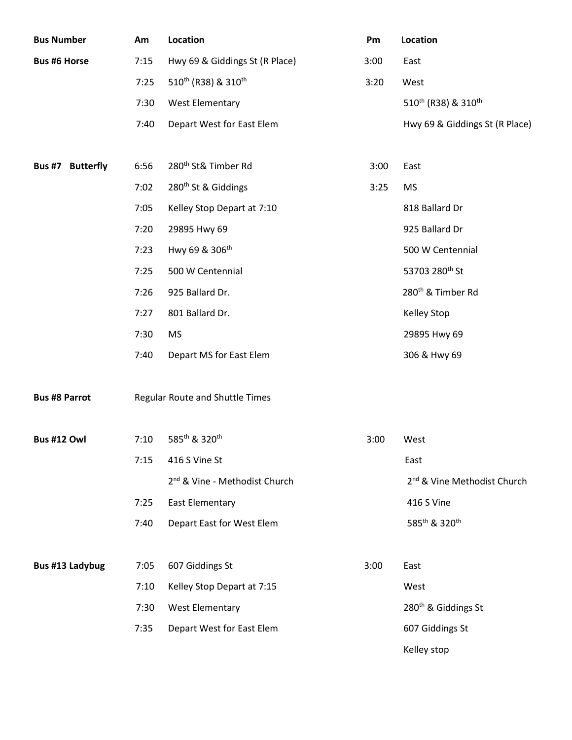| <b>Bus Number</b>    | Am   | Location                                    | Pm   | Location                                    |
|----------------------|------|---------------------------------------------|------|---------------------------------------------|
| <b>Bus #6 Horse</b>  | 7:15 | Hwy 69 & Giddings St (R Place)              | 3:00 | East                                        |
|                      | 7:25 | 510 <sup>th</sup> (R38) & 310 <sup>th</sup> | 3:20 | West                                        |
|                      | 7:30 | <b>West Elementary</b>                      |      | 510 <sup>th</sup> (R38) & 310 <sup>th</sup> |
|                      | 7:40 | Depart West for East Elem                   |      | Hwy 69 & Giddings St (R Place)              |
|                      |      |                                             |      |                                             |
| Bus #7 Butterfly     | 6:56 | 280 <sup>th</sup> St& Timber Rd             | 3:00 | East                                        |
|                      | 7:02 | 280 <sup>th</sup> St & Giddings             | 3:25 | <b>MS</b>                                   |
|                      | 7:05 | Kelley Stop Depart at 7:10                  |      | 818 Ballard Dr                              |
|                      | 7:20 | 29895 Hwy 69                                |      | 925 Ballard Dr                              |
|                      | 7:23 | Hwy 69 & 306 <sup>th</sup>                  |      | 500 W Centennial                            |
|                      | 7:25 | 500 W Centennial                            |      | 53703 280 <sup>th</sup> St                  |
|                      | 7:26 | 925 Ballard Dr.                             |      | 280 <sup>th</sup> & Timber Rd               |
|                      | 7:27 | 801 Ballard Dr.                             |      | <b>Kelley Stop</b>                          |
|                      | 7:30 | <b>MS</b>                                   |      | 29895 Hwy 69                                |
|                      | 7:40 | Depart MS for East Elem                     |      | 306 & Hwy 69                                |
|                      |      |                                             |      |                                             |
| <b>Bus #8 Parrot</b> |      | Regular Route and Shuttle Times             |      |                                             |
|                      |      |                                             |      |                                             |
| <b>Bus #12 Owl</b>   | 7:10 | 585th & 320th                               | 3:00 | West                                        |
|                      | 7:15 | 416 S Vine St                               |      | East                                        |
|                      |      | 2 <sup>nd</sup> & Vine - Methodist Church   |      | 2 <sup>nd</sup> & Vine Methodist Church     |
|                      | 7:25 | <b>East Elementary</b>                      |      | 416 S Vine                                  |
|                      | 7:40 | Depart East for West Elem                   |      | 585 <sup>th</sup> & 320 <sup>th</sup>       |
|                      |      |                                             |      |                                             |
| Bus #13 Ladybug      | 7:05 | 607 Giddings St                             | 3:00 | East                                        |
|                      | 7:10 | Kelley Stop Depart at 7:15                  |      | West                                        |
|                      | 7:30 | <b>West Elementary</b>                      |      | 280 <sup>th</sup> & Giddings St             |
|                      | 7:35 | Depart West for East Elem                   |      | 607 Giddings St                             |
|                      |      |                                             |      | Kelley stop                                 |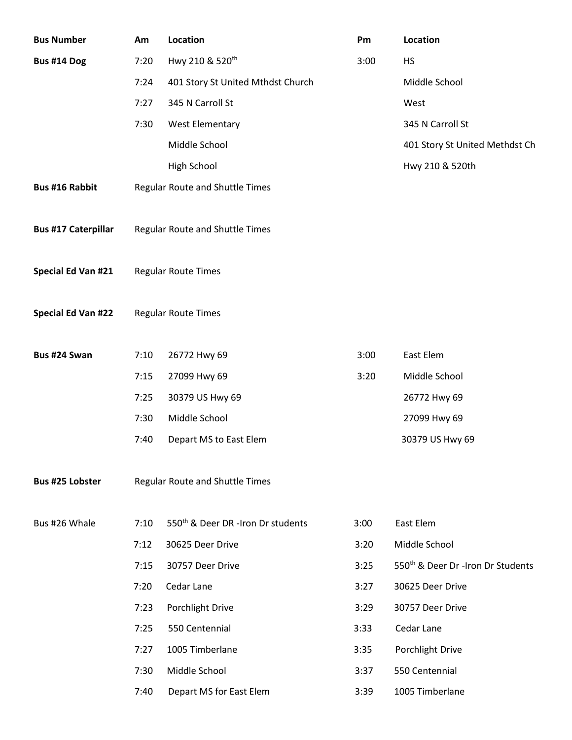| <b>Bus Number</b>          | Am   | Location                                      | Pm   | Location                                      |
|----------------------------|------|-----------------------------------------------|------|-----------------------------------------------|
| Bus #14 Dog                | 7:20 | Hwy 210 & 520 <sup>th</sup>                   | 3:00 | <b>HS</b>                                     |
|                            | 7:24 | 401 Story St United Mthdst Church             |      | Middle School                                 |
|                            | 7:27 | 345 N Carroll St                              |      | West                                          |
|                            | 7:30 | <b>West Elementary</b>                        |      | 345 N Carroll St                              |
|                            |      | Middle School                                 |      | 401 Story St United Methdst Ch                |
|                            |      | High School                                   |      | Hwy 210 & 520th                               |
| <b>Bus #16 Rabbit</b>      |      | Regular Route and Shuttle Times               |      |                                               |
|                            |      |                                               |      |                                               |
| <b>Bus #17 Caterpillar</b> |      | Regular Route and Shuttle Times               |      |                                               |
|                            |      |                                               |      |                                               |
| Special Ed Van #21         |      | <b>Regular Route Times</b>                    |      |                                               |
|                            |      |                                               |      |                                               |
| <b>Special Ed Van #22</b>  |      | <b>Regular Route Times</b>                    |      |                                               |
|                            |      |                                               |      |                                               |
| Bus #24 Swan               | 7:10 | 26772 Hwy 69                                  | 3:00 | East Elem                                     |
|                            | 7:15 | 27099 Hwy 69                                  | 3:20 | Middle School                                 |
|                            | 7:25 | 30379 US Hwy 69                               |      | 26772 Hwy 69                                  |
|                            | 7:30 | Middle School                                 |      | 27099 Hwy 69                                  |
|                            | 7:40 | Depart MS to East Elem                        |      | 30379 US Hwy 69                               |
| <b>Bus #25 Lobster</b>     |      | <b>Regular Route and Shuttle Times</b>        |      |                                               |
|                            |      |                                               |      |                                               |
| Bus #26 Whale              | 7:10 | 550 <sup>th</sup> & Deer DR -Iron Dr students | 3:00 | East Elem                                     |
|                            | 7:12 | 30625 Deer Drive                              | 3:20 | Middle School                                 |
|                            | 7:15 | 30757 Deer Drive                              | 3:25 | 550 <sup>th</sup> & Deer Dr -Iron Dr Students |
|                            | 7:20 | Cedar Lane                                    | 3:27 | 30625 Deer Drive                              |
|                            | 7:23 | Porchlight Drive                              | 3:29 | 30757 Deer Drive                              |
|                            | 7:25 | 550 Centennial                                | 3:33 | Cedar Lane                                    |
|                            | 7:27 | 1005 Timberlane                               | 3:35 | Porchlight Drive                              |
|                            | 7:30 | Middle School                                 | 3:37 | 550 Centennial                                |
|                            | 7:40 | Depart MS for East Elem                       | 3:39 | 1005 Timberlane                               |